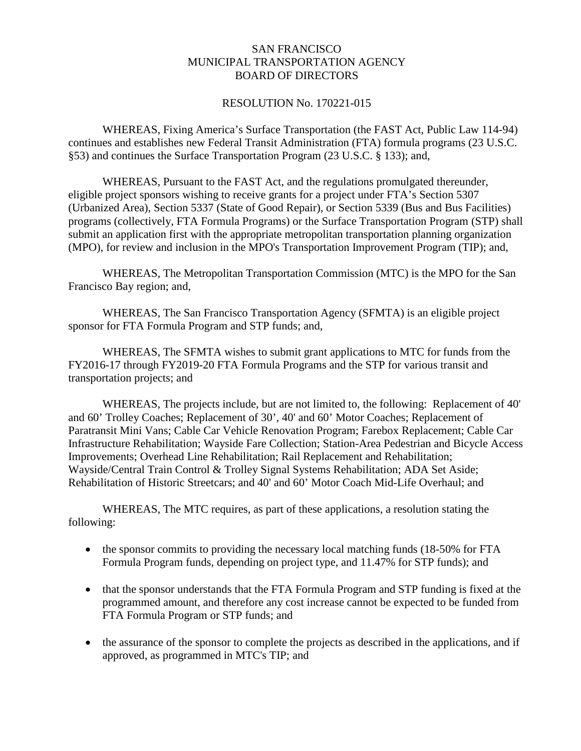## SAN FRANCISCO MUNICIPAL TRANSPORTATION AGENCY BOARD OF DIRECTORS

## RESOLUTION No. 170221-015

WHEREAS, Fixing America's Surface Transportation (the FAST Act, Public Law 114-94) continues and establishes new Federal Transit Administration (FTA) formula programs (23 U.S.C. §53) and continues the Surface Transportation Program (23 U.S.C. § 133); and,

WHEREAS, Pursuant to the FAST Act, and the regulations promulgated thereunder, eligible project sponsors wishing to receive grants for a project under FTA's Section 5307 (Urbanized Area), Section 5337 (State of Good Repair), or Section 5339 (Bus and Bus Facilities) programs (collectively, FTA Formula Programs) or the Surface Transportation Program (STP) shall submit an application first with the appropriate metropolitan transportation planning organization (MPO), for review and inclusion in the MPO's Transportation Improvement Program (TIP); and,

WHEREAS, The Metropolitan Transportation Commission (MTC) is the MPO for the San Francisco Bay region; and,

WHEREAS, The San Francisco Transportation Agency (SFMTA) is an eligible project sponsor for FTA Formula Program and STP funds; and,

WHEREAS, The SFMTA wishes to submit grant applications to MTC for funds from the FY2016-17 through FY2019-20 FTA Formula Programs and the STP for various transit and transportation projects; and

WHEREAS, The projects include, but are not limited to, the following: Replacement of 40' and 60' Trolley Coaches; Replacement of 30', 40' and 60' Motor Coaches; Replacement of Paratransit Mini Vans; Cable Car Vehicle Renovation Program; Farebox Replacement; Cable Car Infrastructure Rehabilitation; Wayside Fare Collection; Station-Area Pedestrian and Bicycle Access Improvements; Overhead Line Rehabilitation; Rail Replacement and Rehabilitation; Wayside/Central Train Control & Trolley Signal Systems Rehabilitation; ADA Set Aside; Rehabilitation of Historic Streetcars; and 40' and 60' Motor Coach Mid-Life Overhaul; and

WHEREAS, The MTC requires, as part of these applications, a resolution stating the following:

- the sponsor commits to providing the necessary local matching funds (18-50% for FTA Formula Program funds, depending on project type, and 11.47% for STP funds); and
- that the sponsor understands that the FTA Formula Program and STP funding is fixed at the programmed amount, and therefore any cost increase cannot be expected to be funded from FTA Formula Program or STP funds; and
- the assurance of the sponsor to complete the projects as described in the applications, and if approved, as programmed in MTC's TIP; and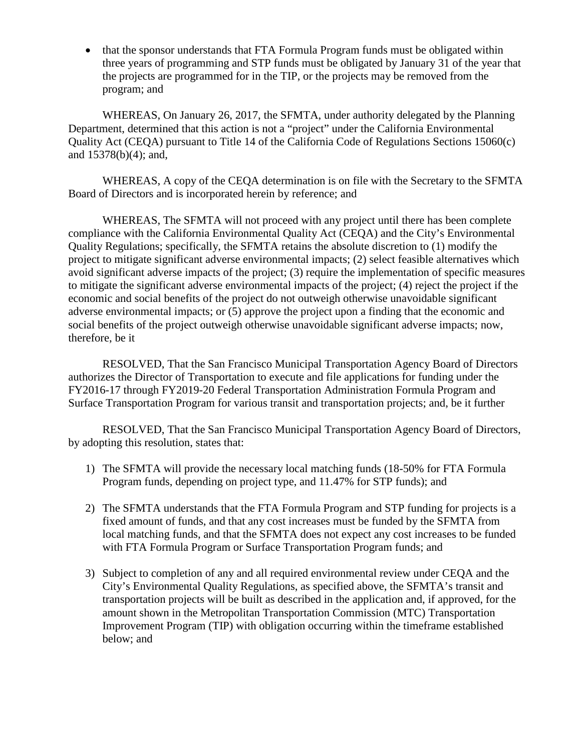• that the sponsor understands that FTA Formula Program funds must be obligated within three years of programming and STP funds must be obligated by January 31 of the year that the projects are programmed for in the TIP, or the projects may be removed from the program; and

WHEREAS, On January 26, 2017, the SFMTA, under authority delegated by the Planning Department, determined that this action is not a "project" under the California Environmental Quality Act (CEQA) pursuant to Title 14 of the California Code of Regulations Sections 15060(c) and 15378(b)(4); and,

WHEREAS, A copy of the CEQA determination is on file with the Secretary to the SFMTA Board of Directors and is incorporated herein by reference; and

WHEREAS, The SFMTA will not proceed with any project until there has been complete compliance with the California Environmental Quality Act (CEQA) and the City's Environmental Quality Regulations; specifically, the SFMTA retains the absolute discretion to (1) modify the project to mitigate significant adverse environmental impacts; (2) select feasible alternatives which avoid significant adverse impacts of the project; (3) require the implementation of specific measures to mitigate the significant adverse environmental impacts of the project; (4) reject the project if the economic and social benefits of the project do not outweigh otherwise unavoidable significant adverse environmental impacts; or (5) approve the project upon a finding that the economic and social benefits of the project outweigh otherwise unavoidable significant adverse impacts; now, therefore, be it

RESOLVED, That the San Francisco Municipal Transportation Agency Board of Directors authorizes the Director of Transportation to execute and file applications for funding under the FY2016-17 through FY2019-20 Federal Transportation Administration Formula Program and Surface Transportation Program for various transit and transportation projects; and, be it further

RESOLVED, That the San Francisco Municipal Transportation Agency Board of Directors, by adopting this resolution, states that:

- 1) The SFMTA will provide the necessary local matching funds (18-50% for FTA Formula Program funds, depending on project type, and 11.47% for STP funds); and
- 2) The SFMTA understands that the FTA Formula Program and STP funding for projects is a fixed amount of funds, and that any cost increases must be funded by the SFMTA from local matching funds, and that the SFMTA does not expect any cost increases to be funded with FTA Formula Program or Surface Transportation Program funds; and
- 3) Subject to completion of any and all required environmental review under CEQA and the City's Environmental Quality Regulations, as specified above, the SFMTA's transit and transportation projects will be built as described in the application and, if approved, for the amount shown in the Metropolitan Transportation Commission (MTC) Transportation Improvement Program (TIP) with obligation occurring within the timeframe established below; and